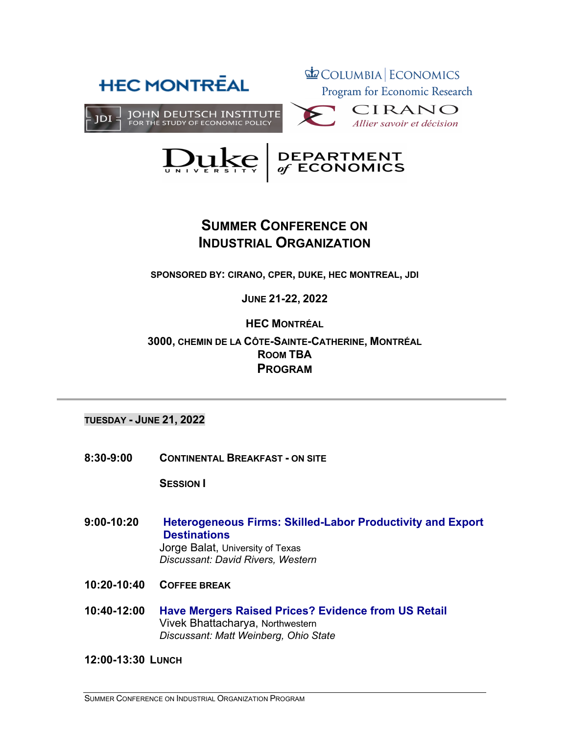



# **SUMMER CONFERENCE ON INDUSTRIAL ORGANIZATION**

**SPONSORED BY: CIRANO, CPER, DUKE, HEC MONTREAL, JDI 2012DT-02 > FpYrier 2012**

**JUNE 21-22, 2022**

## **HEC MONTRÉAL**

## **3000, CHEMIN DE LA CÔTE-SAINTE-CATHERINE, MONTRÉAL Les universités québécoises et ROOM TBA PROGRAM**

**TUESDAY - JUNE 21, 2022 Robert Lacroix** (UQiYeUViWp de MRQWUpal eW CIRANO)

**8:30-9:00 CONTINENTAL BREAKFAST - ON SITE**

**SESSION I**

- **9:00-10:20 Heterogeneous Firms: Skilled-Labor Productivity and Export Destinations** Jorge Balat, University of Texas *Discussant: David Rivers, Western*
- **10:20-10:40 COFFEE BREAK**
- **10:40-12:00 Have Mergers Raised Prices? Evidence from US Retail** Vivek Bhattacharya, Northwestern *Discussant: Matt Weinberg, Ohio State*

**12:00-13:30 LUNCH**